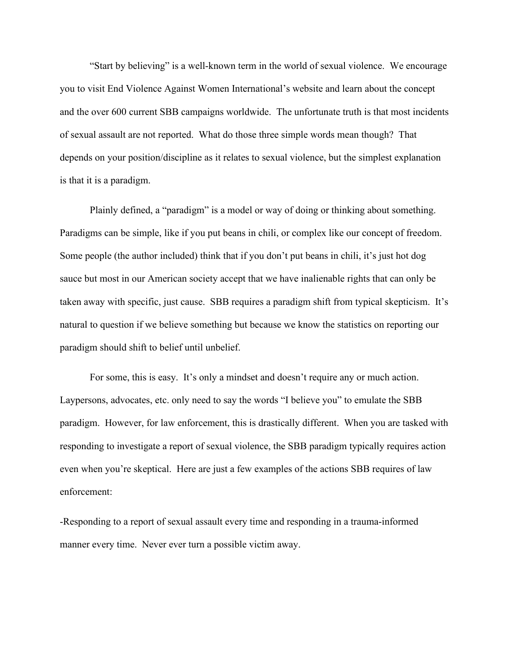"Start by believing" is a well-known term in the world of sexual violence. We encourage you to visit End Violence Against Women International's website and learn about the concept and the over 600 current SBB campaigns worldwide. The unfortunate truth is that most incidents of sexual assault are not reported. What do those three simple words mean though? That depends on your position/discipline as it relates to sexual violence, but the simplest explanation is that it is a paradigm.

Plainly defined, a "paradigm" is a model or way of doing or thinking about something. Paradigms can be simple, like if you put beans in chili, or complex like our concept of freedom. Some people (the author included) think that if you don't put beans in chili, it's just hot dog sauce but most in our American society accept that we have inalienable rights that can only be taken away with specific, just cause. SBB requires a paradigm shift from typical skepticism. It's natural to question if we believe something but because we know the statistics on reporting our paradigm should shift to belief until unbelief.

For some, this is easy. It's only a mindset and doesn't require any or much action. Laypersons, advocates, etc. only need to say the words "I believe you" to emulate the SBB paradigm. However, for law enforcement, this is drastically different. When you are tasked with responding to investigate a report of sexual violence, the SBB paradigm typically requires action even when you're skeptical. Here are just a few examples of the actions SBB requires of law enforcement:

-Responding to a report of sexual assault every time and responding in a trauma-informed manner every time. Never ever turn a possible victim away.